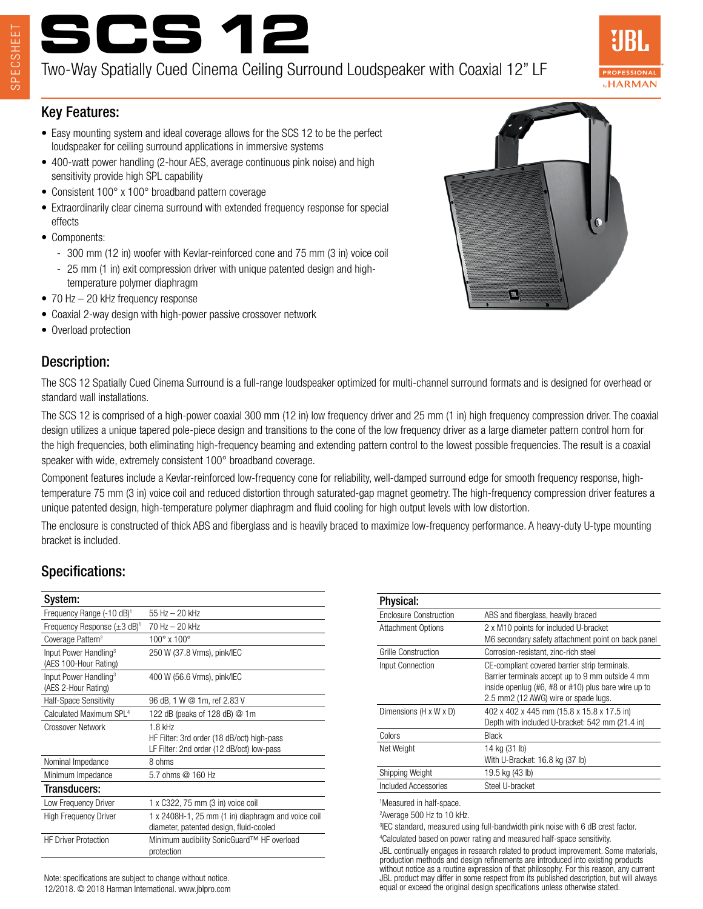# **SCS 12**

Two-Way Spatially Cued Cinema Ceiling Surround Loudspeaker with Coaxial 12" LF



#### Key Features:

- Easy mounting system and ideal coverage allows for the SCS 12 to be the perfect loudspeaker for ceiling surround applications in immersive systems
- 400-watt power handling (2-hour AES, average continuous pink noise) and high sensitivity provide high SPL capability
- Consistent 100° x 100° broadband pattern coverage
- Extraordinarily clear cinema surround with extended frequency response for special effects
- Components:
	- 300 mm (12 in) woofer with Kevlar-reinforced cone and 75 mm (3 in) voice coil
	- 25 mm (1 in) exit compression driver with unique patented design and hightemperature polymer diaphragm
- 70 Hz 20 kHz frequency response
- Coaxial 2-way design with high-power passive crossover network
- Overload protection

### Description:

The SCS 12 Spatially Cued Cinema Surround is a full-range loudspeaker optimized for multi-channel surround formats and is designed for overhead or standard wall installations.

The SCS 12 is comprised of a high-power coaxial 300 mm (12 in) low frequency driver and 25 mm (1 in) high frequency compression driver. The coaxial design utilizes a unique tapered pole-piece design and transitions to the cone of the low frequency driver as a large diameter pattern control horn for the high frequencies, both eliminating high-frequency beaming and extending pattern control to the lowest possible frequencies. The result is a coaxial speaker with wide, extremely consistent 100° broadband coverage.

Component features include a Kevlar-reinforced low-frequency cone for reliability, well-damped surround edge for smooth frequency response, hightemperature 75 mm (3 in) voice coil and reduced distortion through saturated-gap magnet geometry. The high-frequency compression driver features a unique patented design, high-temperature polymer diaphragm and fluid cooling for high output levels with low distortion.

The enclosure is constructed of thick ABS and fiberglass and is heavily braced to maximize low-frequency performance. A heavy-duty U-type mounting bracket is included.

### Specifications:

| System:                                                    |                                                                                               |
|------------------------------------------------------------|-----------------------------------------------------------------------------------------------|
| Frequency Range (-10 dB) <sup>1</sup>                      | 55 Hz - 20 kHz                                                                                |
| Frequency Response $(\pm 3 \text{ dB})^1$                  | 70 Hz - 20 kHz                                                                                |
| Coverage Pattern <sup>2</sup>                              | $100^{\circ}$ x $100^{\circ}$                                                                 |
| Input Power Handling <sup>3</sup><br>(AES 100-Hour Rating) | 250 W (37.8 Vrms), pink/IEC                                                                   |
| Input Power Handling <sup>3</sup><br>(AES 2-Hour Rating)   | 400 W (56.6 Vrms), pink/IEC                                                                   |
| Half-Space Sensitivity                                     | 96 dB, 1 W @ 1m, ref 2.83 V                                                                   |
| Calculated Maximum SPL <sup>4</sup>                        | 122 dB (peaks of 128 dB) @ 1m                                                                 |
| Crossover Network                                          | $1.8$ kHz                                                                                     |
|                                                            | HF Filter: 3rd order (18 dB/oct) high-pass                                                    |
|                                                            | LF Filter: 2nd order (12 dB/oct) low-pass                                                     |
| Nominal Impedance                                          | 8 ohms                                                                                        |
| Minimum Impedance                                          | 5.7 ohms @ 160 Hz                                                                             |
| Transducers:                                               |                                                                                               |
| Low Frequency Driver                                       | 1 x C322, 75 mm (3 in) voice coil                                                             |
| <b>High Frequency Driver</b>                               | 1 x 2408H-1, 25 mm (1 in) diaphragm and voice coil<br>diameter, patented design, fluid-cooled |
| <b>HF Driver Protection</b>                                | Minimum audibility SonicGuard™ HF overload<br>protection                                      |

Note: specifications are subject to change without notice. 12/2018. © 2018 Harman International. www.jblpro.com

| <b>Physical:</b>          |                                                                                                                                                                                                  |
|---------------------------|--------------------------------------------------------------------------------------------------------------------------------------------------------------------------------------------------|
| Enclosure Construction    | ABS and fiberglass, heavily braced                                                                                                                                                               |
| <b>Attachment Options</b> | 2 x M10 points for included U-bracket<br>M6 secondary safety attachment point on back panel                                                                                                      |
| Grille Construction       | Corrosion-resistant, zinc-rich steel                                                                                                                                                             |
| Input Connection          | CE-compliant covered barrier strip terminals.<br>Barrier terminals accept up to 9 mm outside 4 mm<br>inside openlug (#6, #8 or #10) plus bare wire up to<br>2.5 mm2 (12 AWG) wire or spade lugs. |
| Dimensions (H x W x D)    | 402 x 402 x 445 mm (15.8 x 15.8 x 17.5 in)<br>Depth with included U-bracket: 542 mm (21.4 in)                                                                                                    |
| Colors                    | Black                                                                                                                                                                                            |
| Net Weight                | 14 kg (31 lb)<br>With U-Bracket: 16.8 kg (37 lb)                                                                                                                                                 |
| Shipping Weight           | 19.5 kg (43 lb)                                                                                                                                                                                  |
| Included Accessories      | Steel U-bracket                                                                                                                                                                                  |
|                           |                                                                                                                                                                                                  |

1 Measured in half-space.

2 Average 500 Hz to 10 kHz.

3 IEC standard, measured using full-bandwidth pink noise with 6 dB crest factor. 4 Calculated based on power rating and measured half-space sensitivity.

JBL continually engages in research related to product improvement. Some materials, production methods and design refinements are introduced into existing products without notice as a routine expression of that philosophy. For this reason, any current JBL product may differ in some respect from its published description, but will always equal or exceed the original design specifications unless otherwise stated.